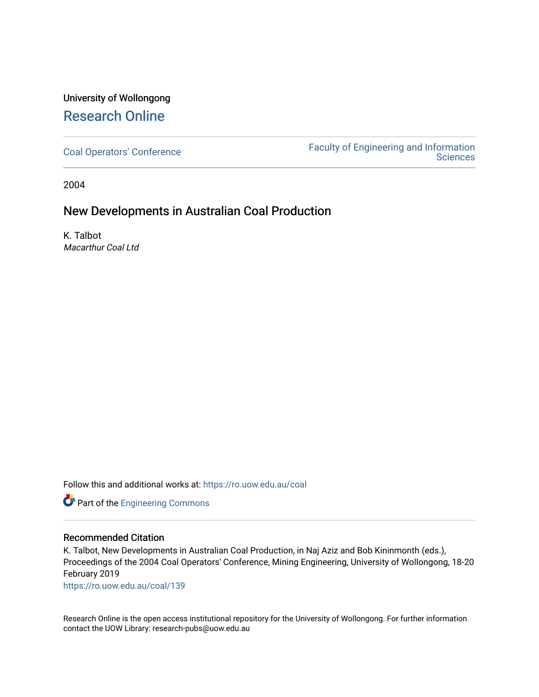# University of Wollongong [Research Online](https://ro.uow.edu.au/)

[Coal Operators' Conference](https://ro.uow.edu.au/coal) [Faculty of Engineering and Information](https://ro.uow.edu.au/eis)  **Sciences** 

2004

# New Developments in Australian Coal Production

K. Talbot Macarthur Coal Ltd

Follow this and additional works at: [https://ro.uow.edu.au/coal](https://ro.uow.edu.au/coal?utm_source=ro.uow.edu.au%2Fcoal%2F139&utm_medium=PDF&utm_campaign=PDFCoverPages) 

Part of the [Engineering Commons](http://network.bepress.com/hgg/discipline/217?utm_source=ro.uow.edu.au%2Fcoal%2F139&utm_medium=PDF&utm_campaign=PDFCoverPages)

# Recommended Citation

K. Talbot, New Developments in Australian Coal Production, in Naj Aziz and Bob Kininmonth (eds.), Proceedings of the 2004 Coal Operators' Conference, Mining Engineering, University of Wollongong, 18-20 February 2019

[https://ro.uow.edu.au/coal/139](https://ro.uow.edu.au/coal/139?utm_source=ro.uow.edu.au%2Fcoal%2F139&utm_medium=PDF&utm_campaign=PDFCoverPages) 

Research Online is the open access institutional repository for the University of Wollongong. For further information contact the UOW Library: research-pubs@uow.edu.au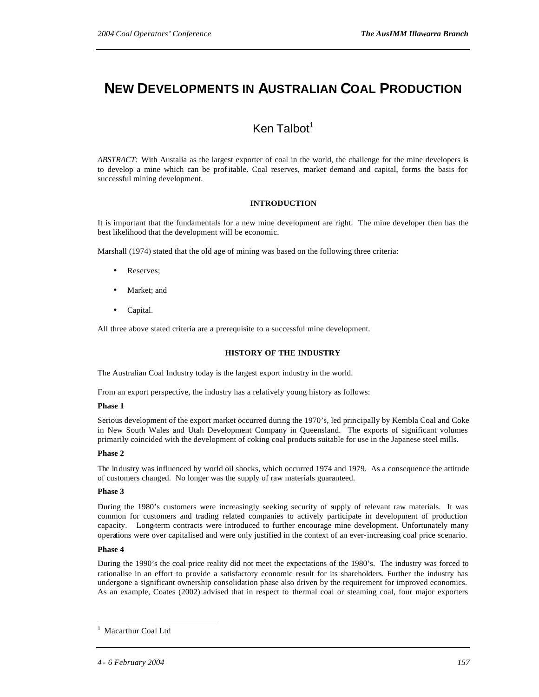# **NEW DEVELOPMENTS IN AUSTRALIAN COAL PRODUCTION**

# $Ken$  Talbot<sup>1</sup>

*ABSTRACT:* With Austalia as the largest exporter of coal in the world, the challenge for the mine developers is to develop a mine which can be prof itable. Coal reserves, market demand and capital, forms the basis for successful mining development.

# **INTRODUCTION**

It is important that the fundamentals for a new mine development are right. The mine developer then has the best likelihood that the development will be economic.

Marshall (1974) stated that the old age of mining was based on the following three criteria:

- Reserves;
- Market; and
- Capital.

All three above stated criteria are a prerequisite to a successful mine development.

#### **HISTORY OF THE INDUSTRY**

The Australian Coal Industry today is the largest export industry in the world.

From an export perspective, the industry has a relatively young history as follows:

#### **Phase 1**

Serious development of the export market occurred during the 1970's, led principally by Kembla Coal and Coke in New South Wales and Utah Development Company in Queensland. The exports of significant volumes primarily coincided with the development of coking coal products suitable for use in the Japanese steel mills.

#### **Phase 2**

The industry was influenced by world oil shocks, which occurred 1974 and 1979. As a consequence the attitude of customers changed. No longer was the supply of raw materials guaranteed.

#### **Phase 3**

During the 1980's customers were increasingly seeking security of supply of relevant raw materials. It was common for customers and trading related companies to actively participate in development of production capacity. Long-term contracts were introduced to further encourage mine development. Unfortunately many operations were over capitalised and were only justified in the context of an ever-increasing coal price scenario.

#### **Phase 4**

 $\overline{a}$ 

During the 1990's the coal price reality did not meet the expectations of the 1980's. The industry was forced to rationalise in an effort to provide a satisfactory economic result for its shareholders. Further the industry has undergone a significant ownership consolidation phase also driven by the requirement for improved economics. As an example, Coates (2002) advised that in respect to thermal coal or steaming coal, four major exporters

<sup>1</sup> Macarthur Coal Ltd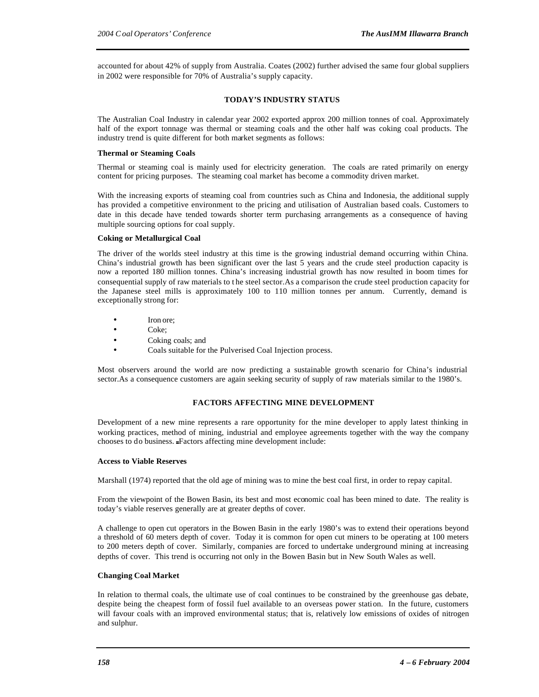accounted for about 42% of supply from Australia. Coates (2002) further advised the same four global suppliers in 2002 were responsible for 70% of Australia's supply capacity.

# **TODAY'S INDUSTRY STATUS**

The Australian Coal Industry in calendar year 2002 exported approx 200 million tonnes of coal. Approximately half of the export tonnage was thermal or steaming coals and the other half was coking coal products. The industry trend is quite different for both market segments as follows:

### **Thermal or Steaming Coals**

Thermal or steaming coal is mainly used for electricity generation. The coals are rated primarily on energy content for pricing purposes. The steaming coal market has become a commodity driven market.

With the increasing exports of steaming coal from countries such as China and Indonesia, the additional supply has provided a competitive environment to the pricing and utilisation of Australian based coals. Customers to date in this decade have tended towards shorter term purchasing arrangements as a consequence of having multiple sourcing options for coal supply.

#### **Coking or Metallurgical Coal**

The driver of the worlds steel industry at this time is the growing industrial demand occurring within China. China's industrial growth has been significant over the last 5 years and the crude steel production capacity is now a reported 180 million tonnes. China's increasing industrial growth has now resulted in boom times for consequential supply of raw materials to t he steel sector.As a comparison the crude steel production capacity for the Japanese steel mills is approximately 100 to 110 million tonnes per annum. Currently, demand is exceptionally strong for:

- Iron ore;
- Coke;
- Coking coals; and
- Coals suitable for the Pulverised Coal Injection process.

Most observers around the world are now predicting a sustainable growth scenario for China's industrial sector.As a consequence customers are again seeking security of supply of raw materials similar to the 1980's.

# **FACTORS AFFECTING MINE DEVELOPMENT**

Development of a new mine represents a rare opportunity for the mine developer to apply latest thinking in working practices, method of mining, industrial and employee agreements together with the way the company chooses to do business. Factors affecting mine development include:

# **Access to Viable Reserves**

Marshall (1974) reported that the old age of mining was to mine the best coal first, in order to repay capital.

From the viewpoint of the Bowen Basin, its best and most economic coal has been mined to date. The reality is today's viable reserves generally are at greater depths of cover.

A challenge to open cut operators in the Bowen Basin in the early 1980's was to extend their operations beyond a threshold of 60 meters depth of cover. Today it is common for open cut miners to be operating at 100 meters to 200 meters depth of cover. Similarly, companies are forced to undertake underground mining at increasing depths of cover. This trend is occurring not only in the Bowen Basin but in New South Wales as well.

#### **Changing Coal Market**

In relation to thermal coals, the ultimate use of coal continues to be constrained by the greenhouse gas debate, despite being the cheapest form of fossil fuel available to an overseas power station. In the future, customers will favour coals with an improved environmental status; that is, relatively low emissions of oxides of nitrogen and sulphur.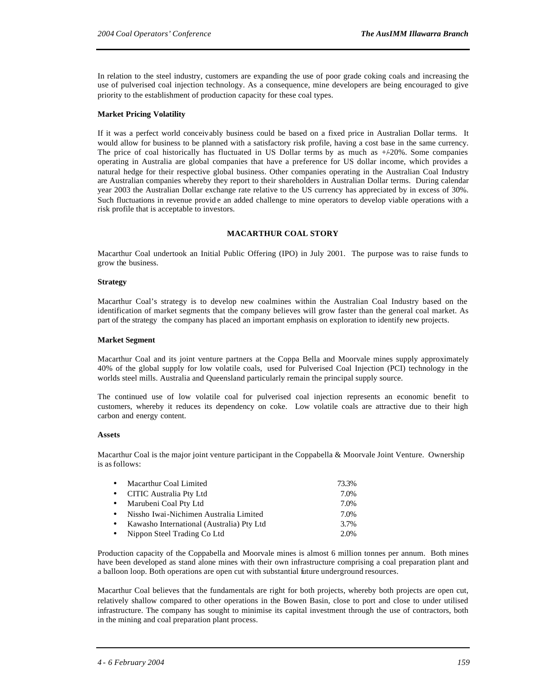In relation to the steel industry, customers are expanding the use of poor grade coking coals and increasing the use of pulverised coal injection technology. As a consequence, mine developers are being encouraged to give priority to the establishment of production capacity for these coal types.

# **Market Pricing Volatility**

If it was a perfect world conceivably business could be based on a fixed price in Australian Dollar terms. It would allow for business to be planned with a satisfactory risk profile, having a cost base in the same currency. The price of coal historically has fluctuated in US Dollar terms by as much as  $+20\%$ . Some companies operating in Australia are global companies that have a preference for US dollar income, which provides a natural hedge for their respective global business. Other companies operating in the Australian Coal Industry are Australian companies whereby they report to their shareholders in Australian Dollar terms. During calendar year 2003 the Australian Dollar exchange rate relative to the US currency has appreciated by in excess of 30%. Such fluctuations in revenue provid e an added challenge to mine operators to develop viable operations with a risk profile that is acceptable to investors.

# **MACARTHUR COAL STORY**

Macarthur Coal undertook an Initial Public Offering (IPO) in July 2001. The purpose was to raise funds to grow the business.

# **Strategy**

Macarthur Coal's strategy is to develop new coalmines within the Australian Coal Industry based on the identification of market segments that the company believes will grow faster than the general coal market. As part of the strategy the company has placed an important emphasis on exploration to identify new projects.

# **Market Segment**

Macarthur Coal and its joint venture partners at the Coppa Bella and Moorvale mines supply approximately 40% of the global supply for low volatile coals, used for Pulverised Coal Injection (PCI) technology in the worlds steel mills. Australia and Queensland particularly remain the principal supply source.

The continued use of low volatile coal for pulverised coal injection represents an economic benefit to customers, whereby it reduces its dependency on coke. Low volatile coals are attractive due to their high carbon and energy content.

# **Assets**

Macarthur Coal is the major joint venture participant in the Coppabella & Moorvale Joint Venture. Ownership is as follows:

| • Macarthur Coal Limited                    | 73.3% |
|---------------------------------------------|-------|
| • CITIC Australia Pty Ltd                   | 7.0%  |
| • Marubeni Coal Pty Ltd                     | 7.0%  |
| • Nissho Iwai-Nichimen Australia Limited    | 7.0%  |
| • Kawasho International (Australia) Pty Ltd | 3.7%  |
| • Nippon Steel Trading Co Ltd               | 2.0%  |

Production capacity of the Coppabella and Moorvale mines is almost 6 million tonnes per annum. Both mines have been developed as stand alone mines with their own infrastructure comprising a coal preparation plant and a balloon loop. Both operations are open cut with substantial future underground resources.

Macarthur Coal believes that the fundamentals are right for both projects, whereby both projects are open cut, relatively shallow compared to other operations in the Bowen Basin, close to port and close to under utilised infrastructure. The company has sought to minimise its capital investment through the use of contractors, both in the mining and coal preparation plant process.